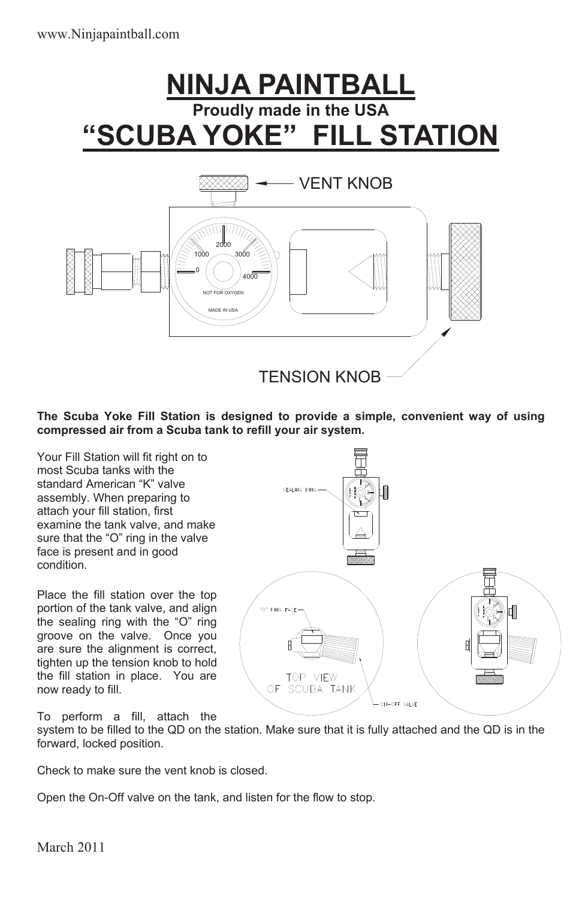## **NINJA PAINTBALL Proudly made in the USA "SCUBA YOKE" FILL STATION**



**The Scuba Yoke Fill Station is designed to provide a simple, convenient way of using compressed air from a Scuba tank to refill your air system.** 

Your Fill Station will fit right on to most Scuba tanks with the standard American "K" valve assembly. When preparing to attach your fill station, first examine the tank valve, and make sure that the "O" ring in the valve face is present and in good condition.

Place the fill station over the top portion of the tank valve, and align the sealing ring with the "O" ring groove on the valve. Once you are sure the alignment is correct, tighten up the tension knob to hold the fill station in place. You are now ready to fill.

To perform a fill, attach the



system to be filled to the QD on the station. Make sure that it is fully attached and the QD is in the forward, locked position.

Check to make sure the vent knob is closed.

Open the On-Off valve on the tank, and listen for the flow to stop.